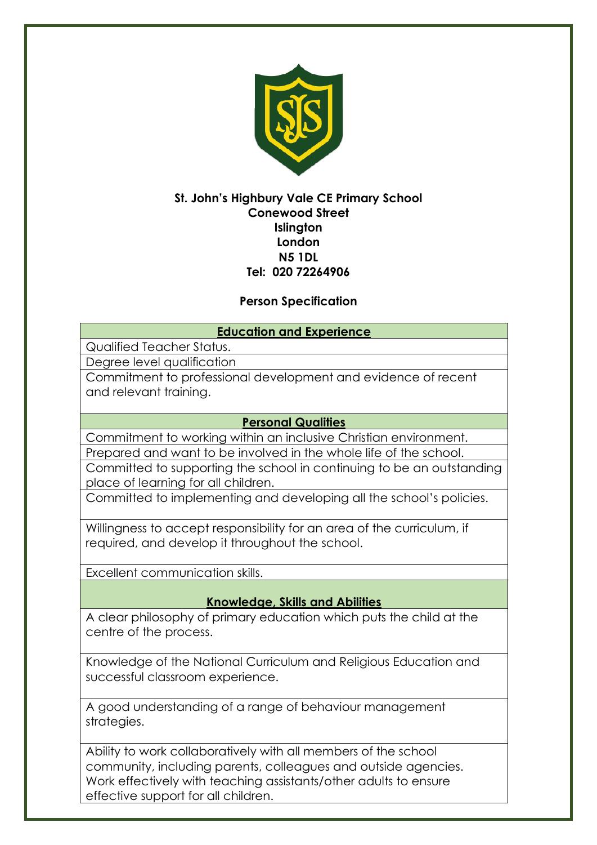

## **St. John's Highbury Vale CE Primary School Conewood Street Islington London N5 1DL Tel: 020 72264906**

# **Person Specification**

## **Education and Experience**

Qualified Teacher Status.

Degree level qualification

Commitment to professional development and evidence of recent and relevant training.

### **Personal Qualities**

Commitment to working within an inclusive Christian environment. Prepared and want to be involved in the whole life of the school.

Committed to supporting the school in continuing to be an outstanding place of learning for all children.

Committed to implementing and developing all the school's policies.

Willingness to accept responsibility for an area of the curriculum, if required, and develop it throughout the school.

Excellent communication skills.

### **Knowledge, Skills and Abilities**

A clear philosophy of primary education which puts the child at the centre of the process.

Knowledge of the National Curriculum and Religious Education and successful classroom experience.

A good understanding of a range of behaviour management strategies.

Ability to work collaboratively with all members of the school community, including parents, colleagues and outside agencies. Work effectively with teaching assistants/other adults to ensure effective support for all children.